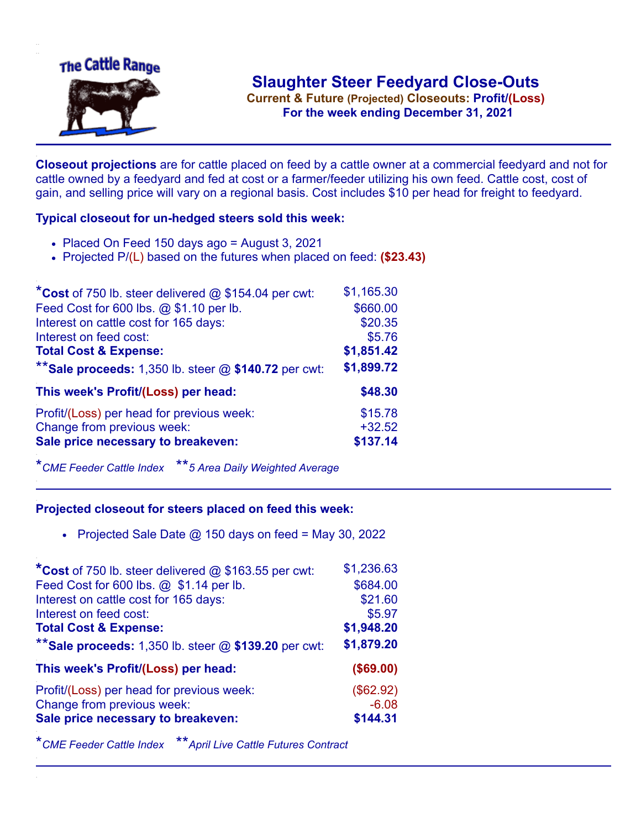

**Current & Future (Projected) Closeouts: Profit/(Loss)** .**For the week ending December 31, 2021**

**Closeout projections** are for cattle placed on feed by a cattle owner at a commercial feedyard and not for cattle owned by a feedyard and fed at cost or a farmer/feeder utilizing his own feed. Cattle cost, cost of gain, and selling price will vary on a regional basis. Cost includes \$10 per head for freight to feedyard.

## **Typical closeout for un-hedged steers sold this week:**

- $\bullet$  Placed On Feed 150 days ago = August 3, 2021
- Projected P/(L) based on the futures when placed on feed: **(\$23.43)**

| *Cost of 750 lb. steer delivered $@$ \$154.04 per cwt:  | \$1,165.30 |
|---------------------------------------------------------|------------|
| Feed Cost for 600 lbs. @ \$1.10 per lb.                 | \$660.00   |
| Interest on cattle cost for 165 days:                   | \$20.35    |
| Interest on feed cost:                                  | \$5.76     |
| <b>Total Cost &amp; Expense:</b>                        | \$1,851.42 |
| ** Sale proceeds: 1,350 lb. steer $@$ \$140.72 per cwt: | \$1,899.72 |
| This week's Profit/(Loss) per head:                     | \$48.30    |
| Profit/(Loss) per head for previous week:               | \$15.78    |
| Change from previous week:                              | $+32.52$   |
| Sale price necessary to breakeven:                      | \$137.14   |

\**CME Feeder Cattle Index* \*\**5 Area Daily Weighted Average*

## **Projected closeout for steers placed on feed this week:**

• Projected Sale Date  $@$  150 days on feed = May 30, 2022

| *Cost of 750 lb. steer delivered @ \$163.55 per cwt:    | \$1,236.63 |
|---------------------------------------------------------|------------|
| Feed Cost for 600 lbs. @ \$1.14 per lb.                 | \$684.00   |
| Interest on cattle cost for 165 days:                   | \$21.60    |
| Interest on feed cost:                                  | \$5.97     |
| <b>Total Cost &amp; Expense:</b>                        | \$1,948.20 |
| ** Sale proceeds: 1,350 lb. steer $@$ \$139.20 per cwt: | \$1,879.20 |
| This week's Profit/(Loss) per head:                     | (\$69.00)  |
| Profit/(Loss) per head for previous week:               | (\$62.92)  |
| Change from previous week:                              | $-6.08$    |
| Sale price necessary to breakeven:                      | \$144.31   |

\**CME Feeder Cattle Index* \*\**April Live Cattle Futures Contract*